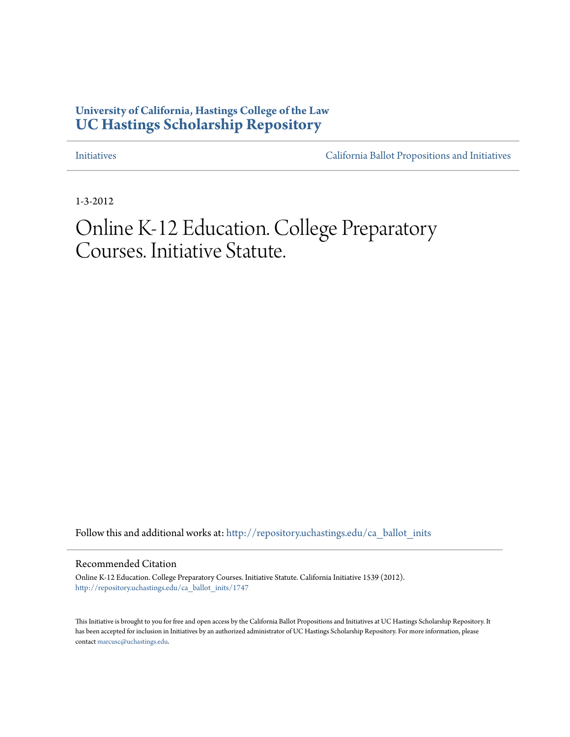# **University of California, Hastings College of the Law [UC Hastings Scholarship Repository](http://repository.uchastings.edu?utm_source=repository.uchastings.edu%2Fca_ballot_inits%2F1747&utm_medium=PDF&utm_campaign=PDFCoverPages)**

[Initiatives](http://repository.uchastings.edu/ca_ballot_inits?utm_source=repository.uchastings.edu%2Fca_ballot_inits%2F1747&utm_medium=PDF&utm_campaign=PDFCoverPages) [California Ballot Propositions and Initiatives](http://repository.uchastings.edu/ca_ballots?utm_source=repository.uchastings.edu%2Fca_ballot_inits%2F1747&utm_medium=PDF&utm_campaign=PDFCoverPages)

1-3-2012

# Online K-12 Education. College Preparatory Courses. Initiative Statute.

Follow this and additional works at: [http://repository.uchastings.edu/ca\\_ballot\\_inits](http://repository.uchastings.edu/ca_ballot_inits?utm_source=repository.uchastings.edu%2Fca_ballot_inits%2F1747&utm_medium=PDF&utm_campaign=PDFCoverPages)

Recommended Citation

Online K-12 Education. College Preparatory Courses. Initiative Statute. California Initiative 1539 (2012). [http://repository.uchastings.edu/ca\\_ballot\\_inits/1747](http://repository.uchastings.edu/ca_ballot_inits/1747?utm_source=repository.uchastings.edu%2Fca_ballot_inits%2F1747&utm_medium=PDF&utm_campaign=PDFCoverPages)

This Initiative is brought to you for free and open access by the California Ballot Propositions and Initiatives at UC Hastings Scholarship Repository. It has been accepted for inclusion in Initiatives by an authorized administrator of UC Hastings Scholarship Repository. For more information, please contact [marcusc@uchastings.edu](mailto:marcusc@uchastings.edu).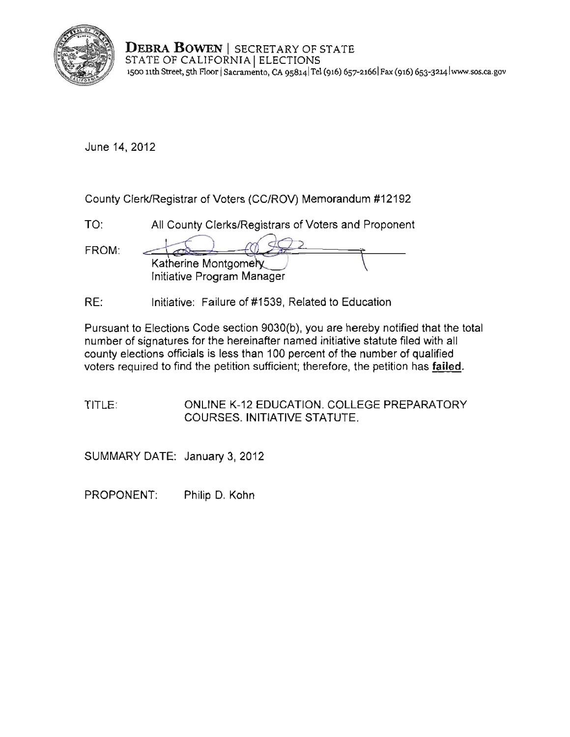

**DEBRA BOWEN | SECRETARY OF STATE** STATE OF CALIFORNIA | ELECTIONS **1500 11th Street, sth F100r I Sacramento, CA 9S8141Tel (916)** 657-21661 Fax **(916) 6S3-3214I www.sos.ca.gov** 

June 14, 2012

| County Clerk/Registrar of Voters (CC/ROV) Memorandum #12192 |                                                      |  |
|-------------------------------------------------------------|------------------------------------------------------|--|
| TO:                                                         | All County Clerks/Registrars of Voters and Proponent |  |
| FROM:                                                       | Katherine Montgomery<br>Initiative Program Manager   |  |

RE: Initiative: Failure of #1539, Related to Education

Pursuant to Elections Code section 9030(b), you are hereby notified that the total number of signatures for the hereinafter named initiative statute filed with all county elections officials is less than 100 percent of the number of qualified voters required to find the petition sufficient; therefore, the petition has failed,

TITLE: ONLINE K-12 EDUCATION. COLLEGE PREPARATORY COURSES. INITIATIVE STATUTE.

SUMMARY DATE: January 3, 2012

PROPONENT: Philip D. Kohn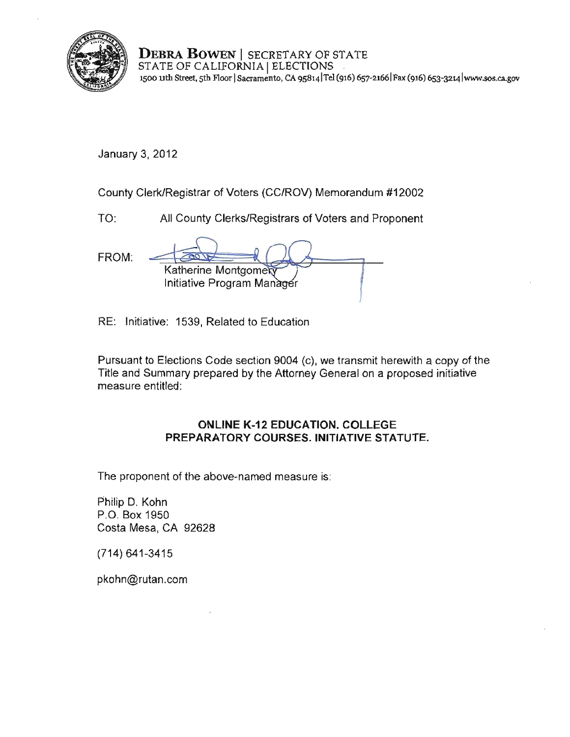

**DEBRA BOWEN** I SECRETARY OF STATE STATE OF CALIFORNIA | ELECTIONS **1500 nth Street, sth Floor ISacramento, CA 9s8141Tei (916) 657-21661 Fax (916) 653-3214lwww.sos.ca.gov** 

January 3, 2012

County Clerk/Registrar of Voters (CC/ROV) Memorandum #12002

TO: All County Clerks/Registrars of Voters and Proponent

FROM: Katherine Montgome Initiative Program Man

RE: Initiative: 1539, Related to Education

Pursuant to Elections Code section 9004 (c), we transmit herewith a copy of the Title and Summary prepared by the Attorney General on a proposed initiative measure entitled:

## **ONLINE K-12 EDUCATION. COLLEGE PREPARATORY COURSES. INITIATIVE STATUTE.**

The proponent of the above· named measure is:

Philip D. Kohn P.O. Box 1950 Costa Mesa, CA 92628

(714) 641-3415

pkohn@rutan.com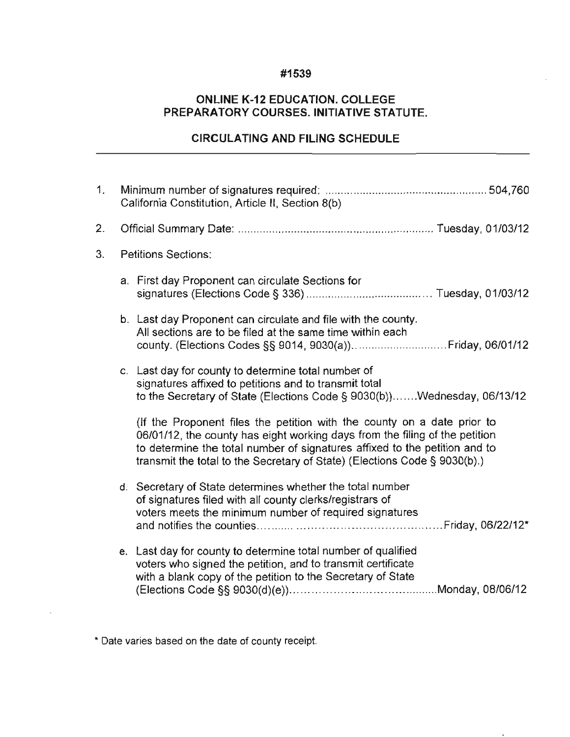### **#1539**

# **ONLINE K-12 EDUCATION. COLLEGE PREPARATORY COURSES. INITIATIVE STATUTE.**

# **CIRCULATING AND FILING SCHEDULE**

| 1. | California Constitution, Article II, Section 8(b) |                                                                                                                                                                                                                                                                                                                   |  |
|----|---------------------------------------------------|-------------------------------------------------------------------------------------------------------------------------------------------------------------------------------------------------------------------------------------------------------------------------------------------------------------------|--|
| 2. |                                                   |                                                                                                                                                                                                                                                                                                                   |  |
| 3. |                                                   | <b>Petitions Sections:</b>                                                                                                                                                                                                                                                                                        |  |
|    |                                                   | a. First day Proponent can circulate Sections for                                                                                                                                                                                                                                                                 |  |
|    |                                                   | b. Last day Proponent can circulate and file with the county.<br>All sections are to be filed at the same time within each                                                                                                                                                                                        |  |
|    |                                                   | c. Last day for county to determine total number of<br>signatures affixed to petitions and to transmit total<br>to the Secretary of State (Elections Code § 9030(b))Wednesday, 06/13/12                                                                                                                           |  |
|    |                                                   | (If the Proponent files the petition with the county on a date prior to<br>06/01/12, the county has eight working days from the filing of the petition<br>to determine the total number of signatures affixed to the petition and to<br>transmit the total to the Secretary of State) (Elections Code § 9030(b).) |  |
|    |                                                   | d. Secretary of State determines whether the total number<br>of signatures filed with all county clerks/registrars of<br>voters meets the minimum number of required signatures                                                                                                                                   |  |
|    |                                                   | e. Last day for county to determine total number of qualified<br>voters who signed the petition, and to transmit certificate<br>with a blank copy of the petition to the Secretary of State                                                                                                                       |  |

**\* Date varies based on the date of county receipt.**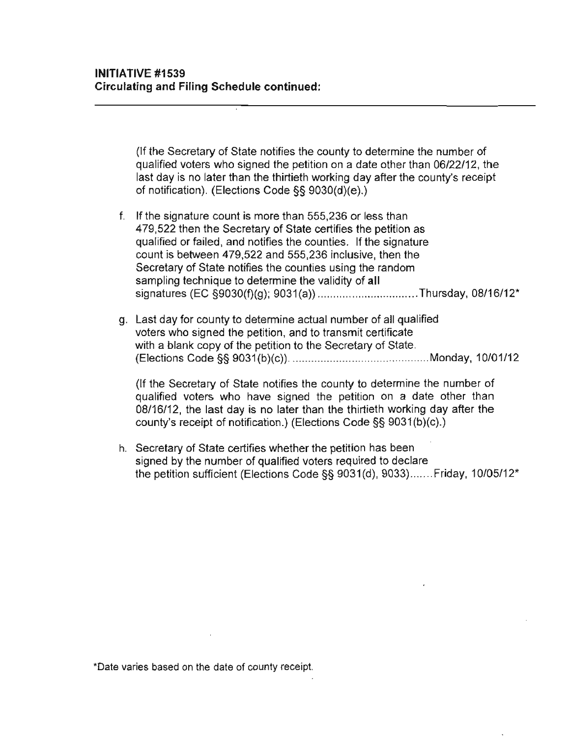(If the Secretary of State notifies the county to determine the number of qualified voters who signed the petition on a date other than 06/22/12. the last day is no later than the thirtieth working day after the county's receipt of notification). (Elections Code §§ 9030(d)(e).)

- f. If the signature count is more than 555,236 or less than 479.522 then the Secretary of State certifies the petition as qualified or failed. and notifies the counties. If the signature count is between 479.522 and 555.236 inclusive. then the Secretary of State notifies the counties using the random sampling technique to determine the validity of **all**  signatures (EC §9030(f)(g); 9031(a)) .................................Thursday, 08/16/12\*
- g. Last day for county to determine actual number of all qualified voters who signed the petition. and to transmit certificate with a blank copy of the petition to the Secretary of State. (Elections Code §§ 9031 (b)(c)) ......................... ................... Monday. 10/01/12

(If the Secretary of State notifies the county to determine the number of qualified voters who have signed the petition on a date other than 08/16/12. the last day is no later than the thirtieth working day after the county's receipt of notification.) (Elections Code §§ 9031(b)(c).)

h. Secretary of State certifies whether the petition has been signed by the number of qualified voters required to declare the petition sufficient (Elections Code §§ 9031(d). 9033) ....... Friday. 10/05/12'

**\*Oate varies based on the date of county receipt.**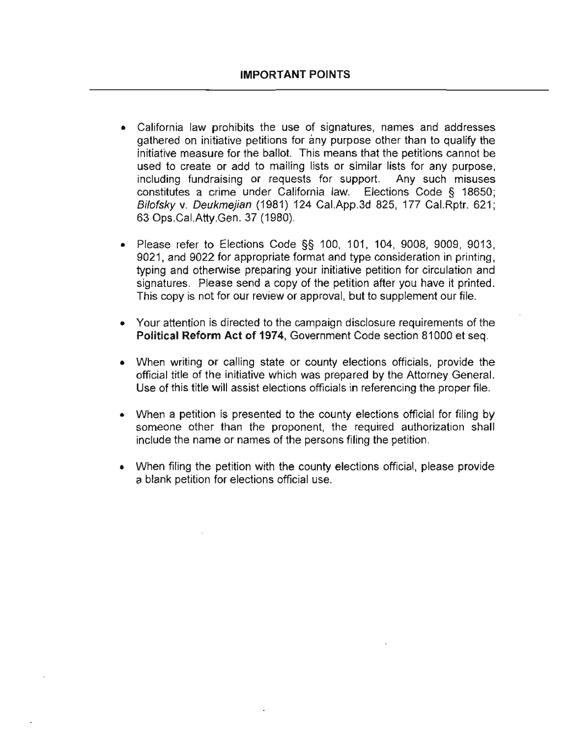- California law prohibits the use of signatures, names and addresses gathered on initiative petitions for any purpose other than to qualify the initiative measure for the ballot. This means that the petitions cannot be used to create or add to mailing lists or similar lists for any purpose, including fundraising or requests for support. Any such misuses constitutes a crime under California law. Elections Code § 18650; Bilofsky v. Deukmejian (1981) 124 Cal.App.3d 825, 177 Cal.Rptr. 621; 63 Ops.Cal.Atty.Gen. 37 (1980).
- Please refer to Elections Code §§ 100, 101, 104, 9008, 9009, 9013, 9021, and 9022 for appropriate format and type consideration in printing, typing and otherwise preparing your initiative petition for circulation and signatures. Please send a copy of the petition after you have it printed. This copy is not for our review or approval, but to supplement our file.
- Your attention is directed to the campaign disclosure requirements of the Political Reform Act of 1974, Government Code section 81000 et seq.
- When writing or calling state or county elections officials, provide the official title of the initiative which was prepared by the Attorney General. Use of this title will assist elections officials in referencing the proper file.
- When a petition is presented to the county elections official for filing by someone other than the proponent, the required authorization shall include the name or names of the persons filing the petition.
- When filing the petition with the county elections official, please provide a blank petition for elections official use.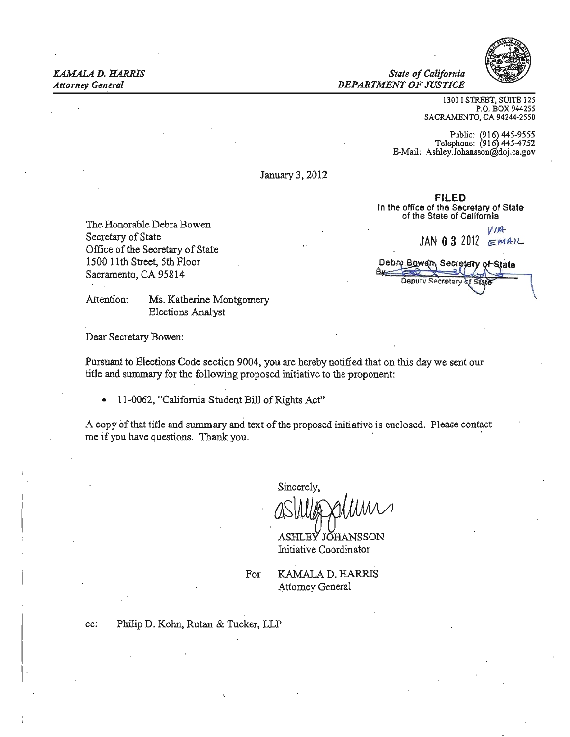*KAMALA D. HARRIS State ofCalifornia Attorney General* DEPARTMENT OF JUSTICE



 $\mathbf{F}$  and  $\mathbf{F}$ 

1300 I STREET, SUITE 125 P.O. BOX 944255 SACRAMENTO, CA 94244-2550

Public:  $(916)$  445-9555 Telephone: (916) 445-4752 E-Mail: Ashley.Johansson@doj.ca.gov

FILED In the office of the Secretary of State of the State of California

Debra Bowen, Secretary of State

Deputy Secretary

January 3, 2012

The Honorable Debra Bowen *VIA*<br>Secretary of State *JAN* 03 2012 *EMAIL*<br>Office of the Secretary of State *JAN* 03 2012 1500 11th Street, 5th Floor Sacramento, CA 95814

Attention: Ms. Katherine Montgomery Elections Analyst

Dear Secretary Bowen:

Pursuant to Elections Code section 9004, you are hereby notified that on this day we sent our title and summary for the following proposed initiative to the proponent:

• 11-0062, "California Student Bill of Rights Act"

A copy of that title and summary and text of the proposed initiative is enclosed. Please contact me if you have questions. Thank you.

Sincerely,

ASHLEY JOHANSSON Initiative Coordinator

For KAMALA D. HARRJS Attorney General

co: Philip D. Kohn, Rutan & Tucker, LLP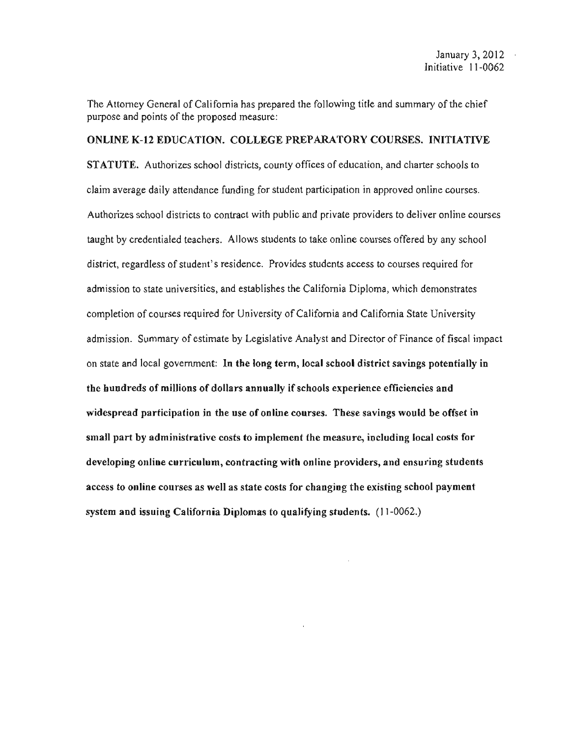The Attorney General of California has prepared the following title and summary of the chief purpose and points of the proposed measure;

### ONLINE K-12 EDUCATION. COLLEGE PREPARATORY COURSES. INITIATIVE

STATUTE. Authorizes school districts, county offices of education, and charter schools to claim average daily attendance funding for student participation in approved online courses. Authorizes school districts to contract with public and private providers to deliver online courses taught by credentialed teachers. Allows students to take online courses offered by any school district, regardless of student's residence. Provides students access to courses required for admission to state universities, and establishes the California Diploma, which demonstrates completion of courses required for University of California and California State University admission. Summary of estimate by Legislative Analyst and Director of Finance of fiscal impact on state and local government: In the long term, local school district savings potentially in the hundreds of millions of dollars annually if schools experience efficiencies and widespread participation in the use of online courses. These savings would be offset in small part by administrative costs to implement the measure, including local costs for developing online curriculum, contracting with online providers, and ensuring students access to online courses as well as state costs for changing the existing scbool payment system and issuing California Diplomas to qualifying students. (11-0062.)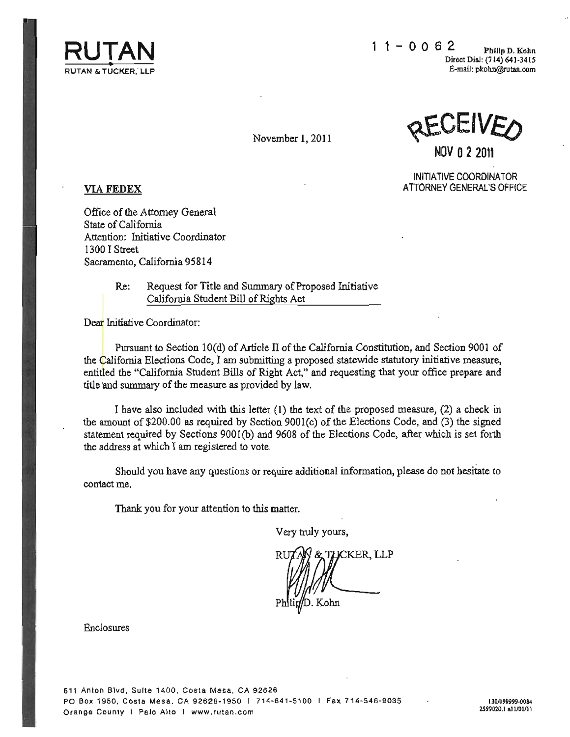

November 1, 2011

**NOV 0 2 2011** 

INITIATIVE COORDINATOR **VIA FEDEX** ATTORNEY GENERAL'S OFFICE

**Office of the Attorney General State of California Attention: hritiative Coordinator**  1300 I Street Sacramento, California 95814

> Re: Request for Title and Summary of Proposed Initiative California Student Bill of Rights Act

**Dear Initiative Coordinator:** 

Pursuant to Section IO(d) of Article II of the California Constitution, and Section 9001 of **the California Elections Code, I am submitting a proposed statewide statutory initiative measure. entitled the "California Student Bills of Right Act," and requesting that your office prepare and**  title and **summary** of the **measure as provided by law.** 

I have also included with this letter (I) the text of the proposed measure, (2) a check in the amount of \$200,00 as required by Section 9001 (c) of the Elections Code, and (3) the signed statement required by Sections 9001(b) and 9608 of the Elections Code, after which is set forth **the address at which I am registered to vote.** 

**Should you have any questions or require additional information, please do not hesitate to contact me.** 

**Thank you for your attention to this matter.** 

Very truly yours,

u;, 'I-!,-KER, LLP Kohn

**Enclosures** 

**61 1 Anton Blvd , Suite 1400, Costa Mesa, CA 92626 PO Box 1950, Costa Me sa, CA 92628· 1950 I 7 14·641 -5100 I Flllx 714- 546 -9 035 Orange County I Palo Alto I www .rulan .com**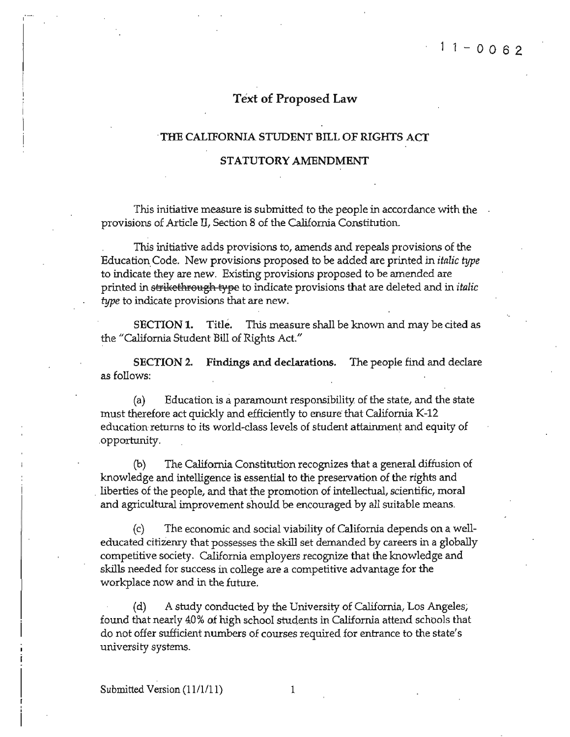### Text of Proposed Law

#### THE CALIFORNIA STUDENT BILL OF RIGHTS ACT

#### STATUTORY AMENDMENT

**This initiative measure is submitted to the people in accordance with the**  provisions of Article II, Section 8 of the California Constitution.

This initiative adds provisions to, amends and repeals provisions of the EducationCode. New provisions proposed to be added are prirlted *in italic type*  **to indicate they are new. Existing provisions proposed to be amended are**  printed in strikethrough type to indicate provisions that are deleted and in *italic* **type to indicate provisions that are new.** 

SECTION 1. Title. This measure shall be known and may be cited as the "California Student Bill of Rights Act."

SECTION 2. Findings and declarations. The people find and declare **as follows:** 

(a) Education is a paramount responsibility of the state, and the state must therefore act quickly and efficiently to ensure that Califorrua K-12 education returns **to its world-class'levels of student attainment and equity of**  opportunity.

(b) The California Constitution recognizes that a general diffusion of knowledge and intelligence is essential to the preservation of the rights and liberties of the people, and that the promotion of intellectual, scientific, moral and agricultural improvement shouid be encouraged by all suitable means.

*(c)* The economic and social viability of Califoruia depends on a weU**educated citizenry that possesses the skill set demanded by careers in a globally**  competitive society. California employers recognize that the knowledge and **skills needed for success in college are a competitive advantage for the workplace now and in the future.** 

(d) A study conducted by the University of California, Los Angeles; found that nearly 40% of high school students in California attend schools that **do not offer sufficient numbers of courses required for entrance to the state's university systems.** 

1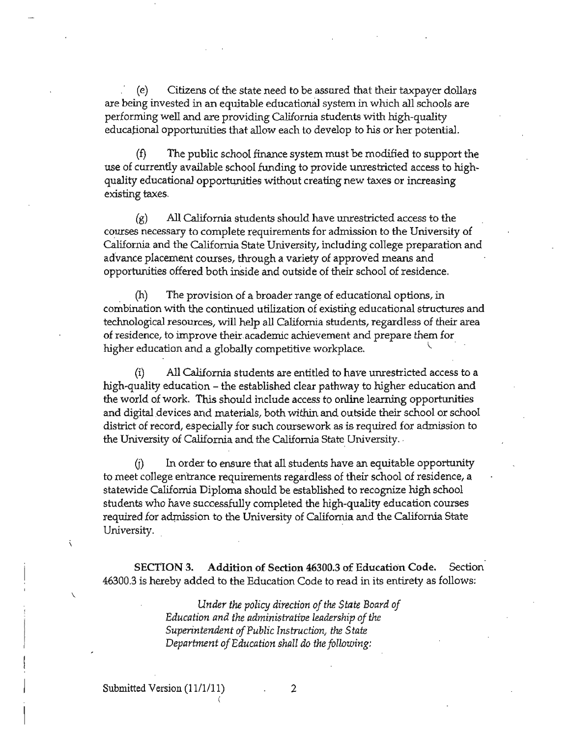(e) Citizens of the state need to be assured that their taxpayer dollars **are being invested in an equitable educationBJ. system in which all schools are**  performing well and are providing California students with high-quality **educational opportunities that allow each to develop to his or her potential.** 

The public school finance system must be modified to support the **use of currently available school funding to provide unrestricted access to highquality educational** oppo~ties **without creating new taxes or increasing existing taxes.** 

(g) All California students should have unrestricted access to the courses necessary to complete requirements for admission to the University of **California and the California State University, including college preparation and advance placement courses, through a variety of approved means and opportunities offered both inside and outside of their school of residence.** 

**(h) The provision of a broader** rang~ **of educational options, in**  combination with the continued utilization of existing educational structures and **teclmological resources, will help all California students, regardless of their area of reSidence, to improve** their. academic **achievement and prepare them for higher education and a globally competitive workplace.** \.

**(i) All California students are entitled to have unrestricted access to a**  high-quality education – the established clear pathway to higher education and the world of work. This should include access to online learning opportunities **and digital devices and materials, both within and outside their school or school district of record, especially for such coursework as is required for admission to**  the University of California and the California State University.

 $(i)$  In order to ensure that all students have an equitable opportunity **to meet college entrance requirements regardless of their school of residence, a**  statewide California Diploma should be established to recognize high school students who have successfully completed the high-quality education courses required for admission to the University of California and the California State **University .**.

SECTION 3. Addition of Section 46300.3 of Education Code. Section 46300.3 is hereby added to the Education Code to read in its entirety as follows:

> *Under the policy direction of the State Board of Education and the administrative leadership ofthe Superintendent of Public Instruction, the State Department of Education shall do the following:*

 $\overline{\phantom{0}}$ 

2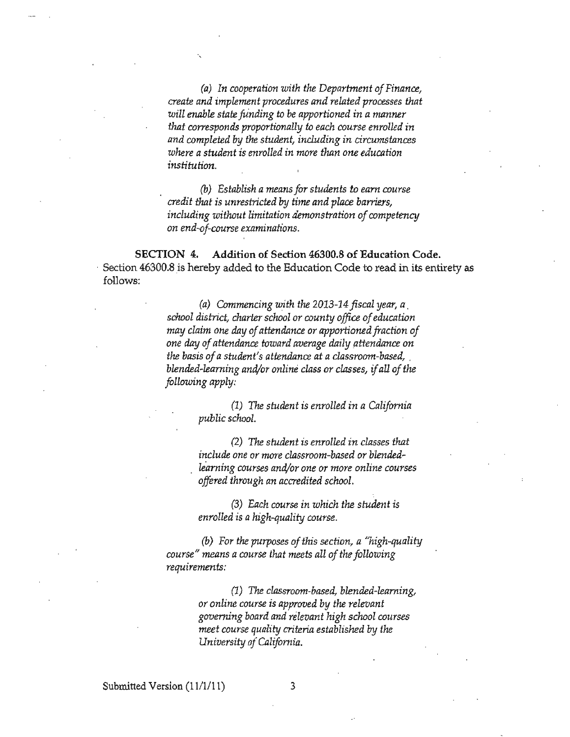*(a)* In cooperation with the Department of Finance, *create and implement procedures and related processes that will enable state fu'nding to be apportioned in a manner that corresponds proportionally to each course enrolled in and completed* **by** *the student, including in circumstances where a student is enrolled in more than one education institution.* 

*(b) Establish ameans for students to earn course credit that is unrestricted by time and place barriers,*  including without limitation demonstration of competency *on end-of-course examinations.* 

SECTION 4. Addition of Section 46300.8 of Education Code. Section 46300.8 is hereby added to the Education Code to read in its entirety as follows:

> *(a) Commencing with the 20I3-I4fiscal year, a. school district, charier school or county office ofeducation may claim one day of attendance or apportioned fraction of one* **day** *ofattendance, toward average* **daily** *attendnnce on the basis of a student's attendance at a classroom-based, . blended-learning and/or online class or classes,* if*all of the following apply:*

> > *(1)* The student is enrolled in a California *public school.*

*(2)* **The** *student* **is** *enrolled in classes that include one or more classroom-based or blendedlearning courses and/or one or more online courses offored through an accredited scJwol.* 

*(3) Each course in which the student is enrolled* **is** *ahigh-quality course.* 

(b) For the purposes of this section, a "high-quality" *course" means a course that meets all of the following requirements:* 

> (1) The *classroom-based, blended-learning, or online course is approved* **by** *the relevant governing board and relevant high school courses meet course quality criteria established* **by** *the University of California.*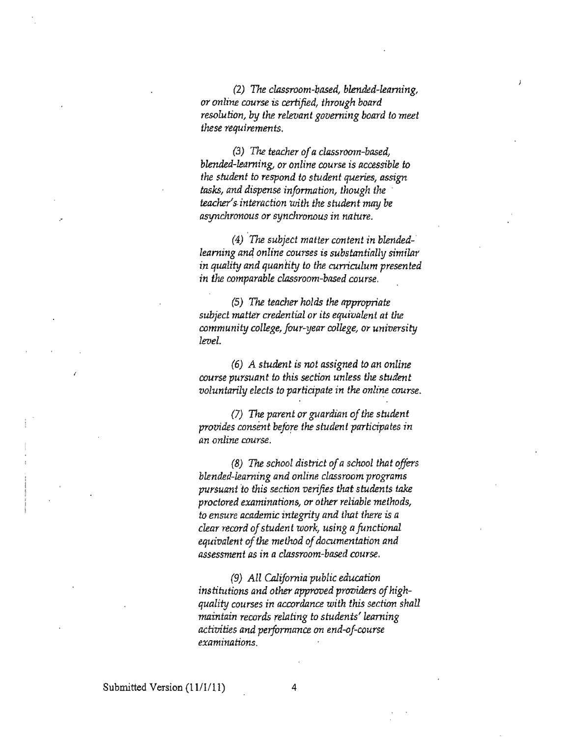*(2)* The *classroom-based, blended-learning, or online course is certified, through board resolution, by* the *relevant governing board to meet these requirements.* 

*(3)* The *teacher ofa classroom-based, blended-learning, or online course* **is** *accessible to the student to respond to student queries, assign tasks, and dispense information, though the . teacher's.interaction with the student* may *be*  asynchronous or synchronous in nature.

(4) .The *subject matter content in blendedlearning an4 online courses is substantially similar in quality and quantity to the curriculum presented in* **the** *comparable classroom-based course.* 

*(5)* The *teacher holds* the *appropriate subject matter credential or its equivalent at* **the**  *community college, four-year college,* **or** *university level.* 

(6) A *student is not assigned to an online course pursuant* **to** *this section unless the student voluntarily elects to participate in the online course.* 

*(7)* The parent or guardian of the student *provides consent before the student participates in an online course.* 

*(8)* The *school district of a school that offers blended-learning and online classroom programs pursuant* **'to** *this section verifies that students take proctored examinations, or other relinble methods,*  **to** *ensure academic integrity and that there* **is** *a clear record ofstudent work, using afunctional equivalent ofthe method ofdocumentation and assessment as* **in** *a classroom-based course.* 

*(9) All Ollifornia public education*  institutions and other approved providers of high*quality courses in accordance with this section shall maintain records relating* **to** *students' learning activities and performance* **on** *end-oj-course examinations.*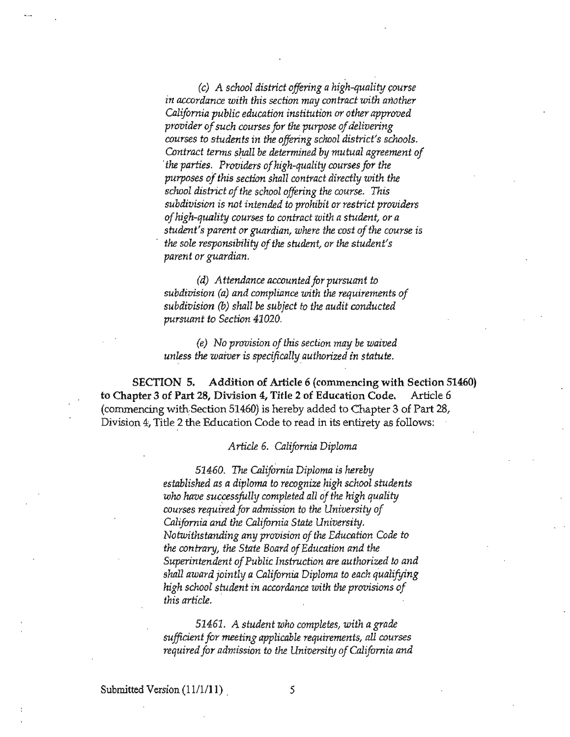(c) *A school district offoring a high-quality course in accordance with this section may contract with another California public education institution or other approved provider of such courses for the purpose of delivering courses* **to** *students in the offering school district's schools,*  Contract terms shall be determined by mutual agreement of *the parties. Providers of high-quality courses for the purposes ofthis section shall contract directly with the school district of the school offoring the course.* This *subdivision is not intended* **to** *prohibit or restrict providers a/high-quality courses* **to** *contract with a student, or a student's parent or guardian, where the cost of the course is the sale responsibility ofthe student, or the student's parent or guardian.* 

*(d)* Attendance accounted for pursuant to *subdivision (a) and complinnce with* **the** *requirements of subdivision (b) shall be subject to the audit conducted pursuant to Section 41020.* 

*(e) No provision ofthis section may be waived unless the waiver* **is** *specijically.Quthorized in statute.* 

SECTION 5. Addition of Article 6 (commencing with Section 51460) **to Chapter 3 of Part 28, Division 4, Title 2 of Education Code. Article 6**  (commencing with.Section 51460) is hereby added to Chapter 3 of Part 28, Division 4, Title 2 the Education Code to read in its entirety as follows:

#### *Article* 6. *CnliJornia DiplomJl*

*51460.* The *California Diploma* is *hereby established as a diploma to recognize high school students*  who have successfully completed all of the high quality *courses required for admission* **to** *the University of CnliJornia and the CnliJornia State University. Notwithstanding any provision of the Education Code to the contrary, the State Board ofEducation and the Superintendent ofPublic Instruction are authorized* **to** *and shall award jointly a CnliJornia Diploma to each qualifying high school st:udent in accordance with* **the** *provisions of this article.* 

*51461. A student who completes, with agrade sufficient for meeting applicable requirements, all courses required for admission to the University of California and* 

Submitted Version *(11/1/11) .* 5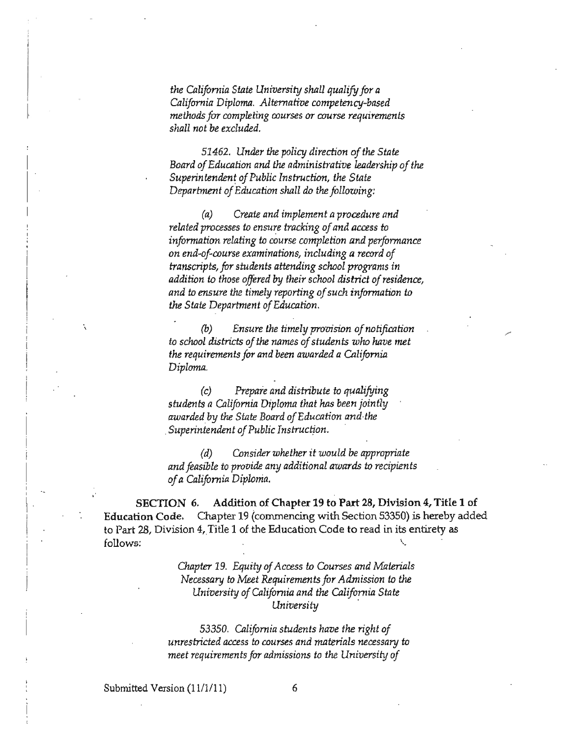*the California State University shall qualify for a* California Diploma. Alternative competency-based *methods for completing courses or course requirements sholl not* be *excluded.* 

*51462. Under the policy direction of the State Board ofEducation and the administrative leadership of the Superintendent of Public Instruction, the State* Department of Education shall do the following:

*(a) Create and implement a procedure and*  related processes to ensure tracking of and access to *information relating* **to** *cOurse completion and performance*  on end-of-course examinations, including a record of *transcripts, for students attending school programs in addition* to *those offered by their schaol district ofresidence, and* to *ensure the timely reporting ofsuch information* to *the State Department ofEducation.* 

(b) *Ensure the timely provision ofnotification*  to *school districts of the names of students who have met the requirements for and been awarded a California* Diploma.

*(c) Prepare and distribute* to *qualifying students a California Diploma thot has been jointly*  awarded by the State Board of Education and the *Superintendent of Public Instruction.* 

*(d) Cansider whether it would be approprinte and feasible to* **provide** *any additional awards* **to** *recipients ofa Cnlifornin Diploma.* 

SECI'ION 6. Addition of Chapter 19 to Part 28, Division 4, Title 1 of Education Code. Chapter 19 (commencing with Section 53350) is hereby added **to Part 28, Division 4, Title 1 of the Education Code to read in its entirety as**   $\,$  follows:  $\,$ 

> *Chapter 19. Equity of Access to Courses and Materials Necessary* to *Meet Requirements for Admission* to *the* University of California and the California State *University .*

*53350. Cnlifornin students have the right of unrestricted access* **to** *courses and materials necessary* **to**  *meet requirements for admissions* **to** *the University of* 

Submitted Version  $(11/1/11)$  6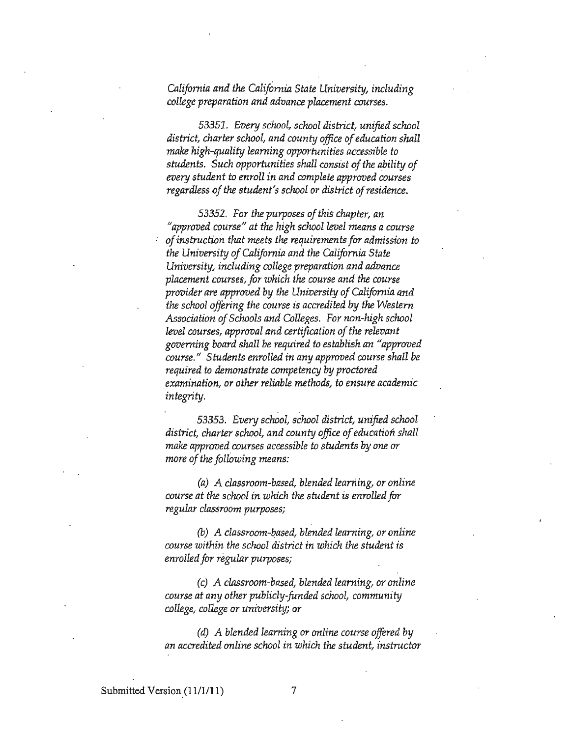*California and the California State University, including college preparation and advance placement courses.* 

*53351. Every school, school district, unified school district, charter school, and county office of education shall make high-quality learning opportunities accessible to* students. Such opportunities shall consist of the ability of *every student* **to** *enroll in and complete approved courses regardless of the student's school or district of residence.* 

*53352. For the pUrpDseS Df this chapter, an "approved course" at the high school level means a course ofinstruction that meets the requirements for admission to the University Df California and the California State University, including college preparation and advance placement courses, for which the course and the course provider are approved by the University of California and the school Dffering the cDurse* is *accredited by the Western*  Association of Schools and Colleges. For non-high school *level courses, approval and certification of the relevant governing board shall be required* **to** *establish an* **JI***approved course." Students enrolled in any approved course shall be required to demonstrate competency by proctored examination,* **or** *other reliable methods,* **to** *ensure academic integrity.* 

53353. Every school, school district, unified school district, charter school, and county office of education shall *make appraved courses accessible to students by one* **or**  *more of the following means:* 

*(a)* A *classrDom-based, blended learning, Dr Dnline course at the school in which the student is enrolled***for**  *regular classroom purposes;* 

*(b)* A classroom-based, blended learning, or online *course within the school district in which* **the** *student is enrolled for regular purposes;* 

*(c)* A *classroom-based, blended learning, Dr Dnline course at any other publicly-funded school, community college, college* **or** *university;* **or** 

*(d)* A blended learning or online course offered by *an accredited online school in which the student, instructor*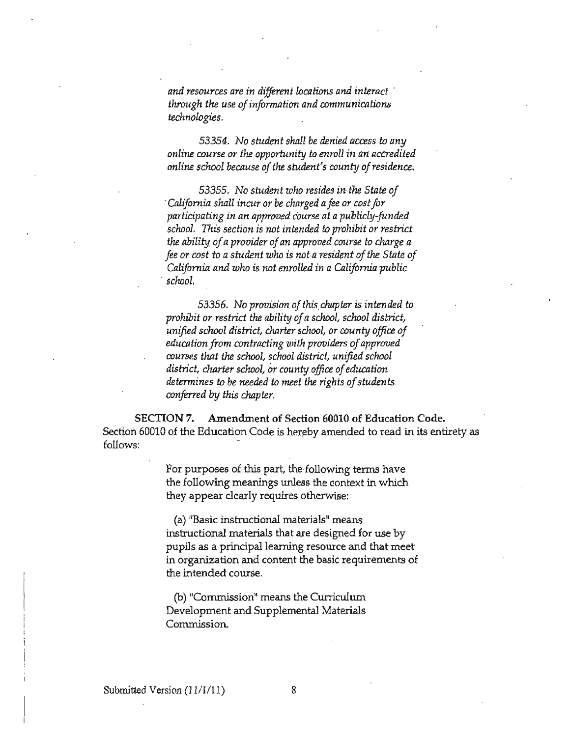*and resources are in different locations and interact . through the use of information and communications technologies.* 

53354. No *student shall be denied access* to *any online course or the opportunity* **to** *enroll in an accredited online school because of the student's county of residence.* 

53355. No *student wha resides in the State of 'California shall incur or be charged a fte* or *cost for participating in an approved Course at a publicly-funded school. This section is noi' intended to prohibit or restrict the ability of a provider ofan approved course* to *charge a*  foe or *cost* to *a student who* is *not.a resident ofthe State of California and who* is *not enrolled in a California public , schaol.* 

53356. No *provision ofthis,chapter* is *intended to prohibit* or *restrict the ability of a school, school district, unified school district, charter school, or county office of education from contracting with providers of approved courses that* the *school, school district, unified school*  district, charter school, or county office of education *determines* to *be needed* to *meet the rights ofstudents conferred by this chapter.* 

SECTION 7. Amendment of Section 60010 of Education Code. Section 60010 of the Education Code is hereby amended to read in its entirety as follows:

> For purposes of this part, the following terms have **the following meanings unless the context in which they appear clearly requires otherwise:**

**(a)** "~asic **instructional materials!! means**  instructional materials that are designed for use by **pupils as a** principal Jearning **resource and that meet in organization and content the basic requirements of the intended course.** 

**(b) IICorrunissionl! means the Cwricu1um**  Development and Supplemental Materials **Commission.**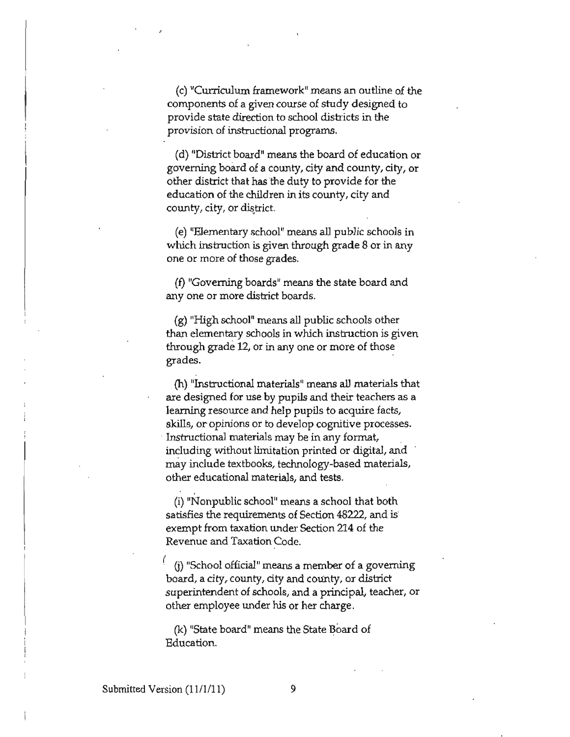**(c) "Curriculum frameworkll means an outline of the components of a given course of study designed to provide state direction to school districts in the provision of instructional programs.** 

**(d) "District board" means the board of education or**  governing board of a county, city and county, city, or other district that has the duty to provide for the **education of the children in its county, city and**  county, city, or district.

**(e) "Elementary schoolll means all public schools in**  which instruction is given through grade 8 or in any **one or more of those grades.** 

(f) "Governing boards" means the state board and **anyone or more district boards.** 

(g) "High school" means all public schools other than elementary schools in which instruction is given **through grade 12, or in anyone or more of those grades.** . .

**(h) Illnstructional** materials <sup>11</sup>**means all materials that are designed for use by pupils and their teachers as a learning resource and help pupils to acquire facts, skills, or opinions or to develop cognitive processes .**  . **Instructional materials may be in any {onnat,**  including without limitation printed or digital, and may include textbooks, technology-based materials, **other educational materials, and tests.** 

(i) "Nonpublic school" means a school that both **satisfies the requirements of Section 48222, and is** exempt from taxation under Section 214 of the **Revenue and Taxation Code.** 

( **mItSchool officiallt means a member of a governing**  board, a city, county, city and county, or district **superintendent of schools, and a principal, teacher, or**  other employee under his or her charge.

(k) "State board" means the State Board of Education.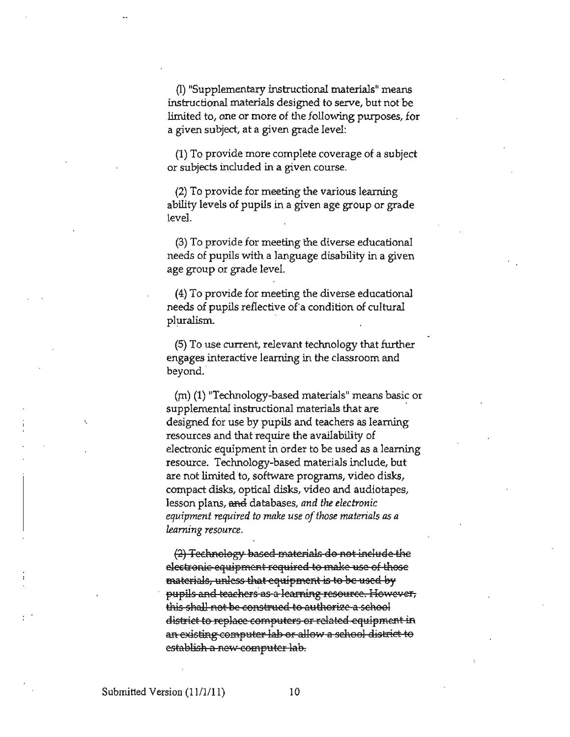**(l) "Supplementary instructional materials" means instructional materials designed to serve, but not be limited to, one or more of the following purposes, for a given subject, at a given grade level:** 

(1) To provide more complete coverage of a subject **or subjects included in a given course.** 

(2) To provide for meeting the various learning ability levels of pupils in a given age group or grade level.

(3) To provide for meeting the diverse educational needs of pupils with a language disability in a given age group or grade level.

(4) To provide for meeting the diverse educational needs of pupils reflective of a condition of cultural pluralism. .

(5) To use current, relevant technology that further **engages interactive learning in the classroom and**  beyond.

 $(m)$  (1) "Technology-based materials" means basic or **supplemental instructional materials that are** . designed for use by pupils and teachers as leaming **resources and that require the availability of electronic equipment in order to be used as a learning resource. Technology-based materials include, but are not limited to, software programs, video disks, compact disks, optical disks, video and audiotapes,**  lesson plans, and databases, and the electronic *equipment required to make use of those materials as a learning resource.* 

(2) Technology based materials do not inelude the **electronic equipment required to make use of those materials, unless that equipment is to be used by** pupils and teachers as a learning resource. However, this shall not be construed to authorize a sehool district to replace computers or related equipment in an existing computer lab or allow a sehool district to **establish a new computer lab.**